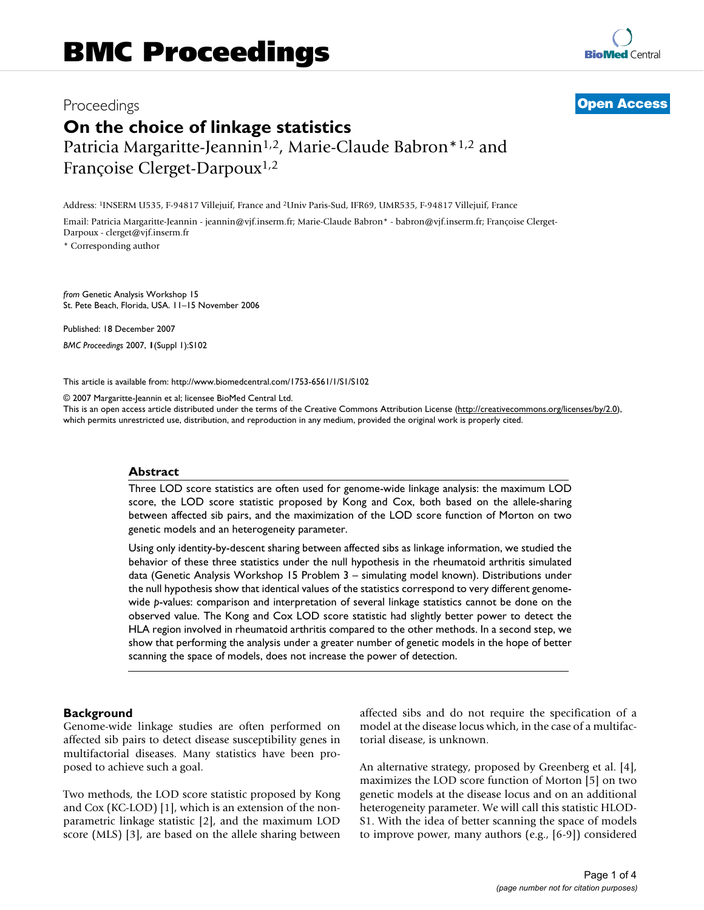# Proceedings **[Open Access](http://www.biomedcentral.com/info/about/charter/) On the choice of linkage statistics** Patricia Margaritte-Jeannin<sup>1,2</sup>, Marie-Claude Babron<sup>\*1,2</sup> and Françoise Clerget-Darpoux1,2

Address: 1INSERM U535, F-94817 Villejuif, France and 2Univ Paris-Sud, IFR69, UMR535, F-94817 Villejuif, France

Email: Patricia Margaritte-Jeannin - jeannin@vjf.inserm.fr; Marie-Claude Babron\* - babron@vjf.inserm.fr; Françoise Clerget-Darpoux - clerget@vjf.inserm.fr

\* Corresponding author

*from* Genetic Analysis Workshop 15 St. Pete Beach, Florida, USA. 11–15 November 2006

Published: 18 December 2007 *BMC Proceedings* 2007, **1**(Suppl 1):S102

[This article is available from: http://www.biomedcentral.com/1753-6561/1/S1/S102](http://www.biomedcentral.com/1753-6561/1/S1/S102)

© 2007 Margaritte-Jeannin et al; licensee BioMed Central Ltd.

This is an open access article distributed under the terms of the Creative Commons Attribution License [\(http://creativecommons.org/licenses/by/2.0\)](http://creativecommons.org/licenses/by/2.0), which permits unrestricted use, distribution, and reproduction in any medium, provided the original work is properly cited.

# **Abstract**

Three LOD score statistics are often used for genome-wide linkage analysis: the maximum LOD score, the LOD score statistic proposed by Kong and Cox, both based on the allele-sharing between affected sib pairs, and the maximization of the LOD score function of Morton on two genetic models and an heterogeneity parameter.

Using only identity-by-descent sharing between affected sibs as linkage information, we studied the behavior of these three statistics under the null hypothesis in the rheumatoid arthritis simulated data (Genetic Analysis Workshop 15 Problem 3 – simulating model known). Distributions under the null hypothesis show that identical values of the statistics correspond to very different genomewide *p*-values: comparison and interpretation of several linkage statistics cannot be done on the observed value. The Kong and Cox LOD score statistic had slightly better power to detect the HLA region involved in rheumatoid arthritis compared to the other methods. In a second step, we show that performing the analysis under a greater number of genetic models in the hope of better scanning the space of models, does not increase the power of detection.

# **Background**

Genome-wide linkage studies are often performed on affected sib pairs to detect disease susceptibility genes in multifactorial diseases. Many statistics have been proposed to achieve such a goal.

Two methods, the LOD score statistic proposed by Kong and Cox (KC-LOD) [1], which is an extension of the nonparametric linkage statistic [2], and the maximum LOD score (MLS) [3], are based on the allele sharing between affected sibs and do not require the specification of a model at the disease locus which, in the case of a multifactorial disease, is unknown.

An alternative strategy, proposed by Greenberg et al. [4], maximizes the LOD score function of Morton [5] on two genetic models at the disease locus and on an additional heterogeneity parameter. We will call this statistic HLOD-S1. With the idea of better scanning the space of models to improve power, many authors (e.g., [6-9]) considered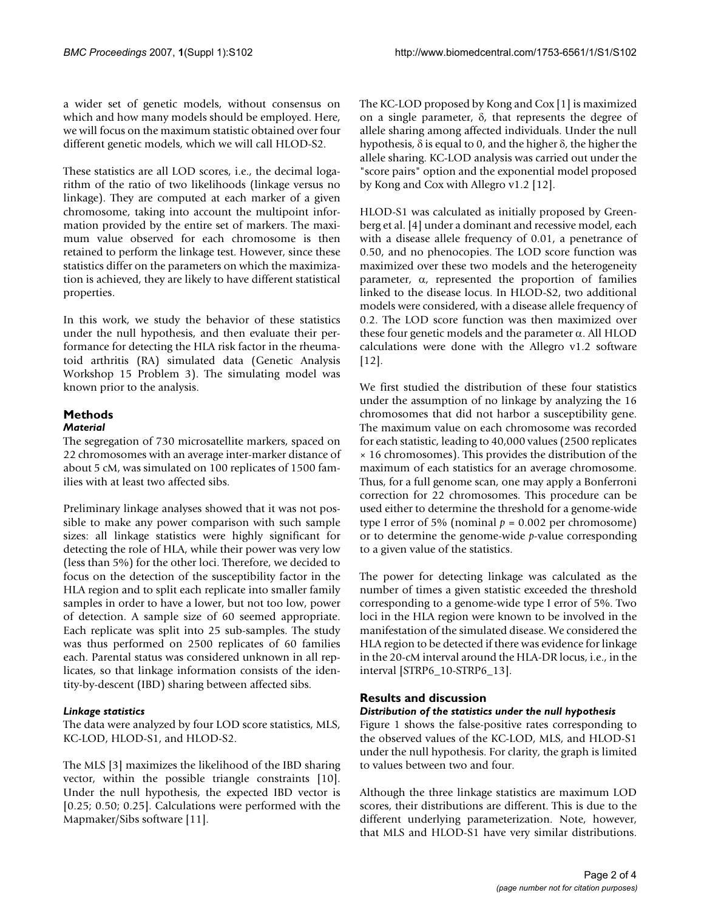a wider set of genetic models, without consensus on which and how many models should be employed. Here, we will focus on the maximum statistic obtained over four different genetic models, which we will call HLOD-S2.

These statistics are all LOD scores, i.e., the decimal logarithm of the ratio of two likelihoods (linkage versus no linkage). They are computed at each marker of a given chromosome, taking into account the multipoint information provided by the entire set of markers. The maximum value observed for each chromosome is then retained to perform the linkage test. However, since these statistics differ on the parameters on which the maximization is achieved, they are likely to have different statistical properties.

In this work, we study the behavior of these statistics under the null hypothesis, and then evaluate their performance for detecting the HLA risk factor in the rheumatoid arthritis (RA) simulated data (Genetic Analysis Workshop 15 Problem 3). The simulating model was known prior to the analysis.

# **Methods** *Material*

The segregation of 730 microsatellite markers, spaced on 22 chromosomes with an average inter-marker distance of about 5 cM, was simulated on 100 replicates of 1500 families with at least two affected sibs.

Preliminary linkage analyses showed that it was not possible to make any power comparison with such sample sizes: all linkage statistics were highly significant for detecting the role of HLA, while their power was very low (less than 5%) for the other loci. Therefore, we decided to focus on the detection of the susceptibility factor in the HLA region and to split each replicate into smaller family samples in order to have a lower, but not too low, power of detection. A sample size of 60 seemed appropriate. Each replicate was split into 25 sub-samples. The study was thus performed on 2500 replicates of 60 families each. Parental status was considered unknown in all replicates, so that linkage information consists of the identity-by-descent (IBD) sharing between affected sibs.

# *Linkage statistics*

The data were analyzed by four LOD score statistics, MLS, KC-LOD, HLOD-S1, and HLOD-S2.

The MLS [3] maximizes the likelihood of the IBD sharing vector, within the possible triangle constraints [10]. Under the null hypothesis, the expected IBD vector is [0.25; 0.50; 0.25]. Calculations were performed with the Mapmaker/Sibs software [11].

The KC-LOD proposed by Kong and Cox [1] is maximized on a single parameter, δ, that represents the degree of allele sharing among affected individuals. Under the null hypothesis, δ is equal to 0, and the higher δ, the higher the allele sharing. KC-LOD analysis was carried out under the "score pairs" option and the exponential model proposed by Kong and Cox with Allegro v1.2 [12].

HLOD-S1 was calculated as initially proposed by Greenberg et al. [4] under a dominant and recessive model, each with a disease allele frequency of 0.01, a penetrance of 0.50, and no phenocopies. The LOD score function was maximized over these two models and the heterogeneity parameter, α, represented the proportion of families linked to the disease locus. In HLOD-S2, two additional models were considered, with a disease allele frequency of 0.2. The LOD score function was then maximized over these four genetic models and the parameter  $\alpha$ . All HLOD calculations were done with the Allegro v1.2 software [12].

We first studied the distribution of these four statistics under the assumption of no linkage by analyzing the 16 chromosomes that did not harbor a susceptibility gene. The maximum value on each chromosome was recorded for each statistic, leading to 40,000 values (2500 replicates × 16 chromosomes). This provides the distribution of the maximum of each statistics for an average chromosome. Thus, for a full genome scan, one may apply a Bonferroni correction for 22 chromosomes. This procedure can be used either to determine the threshold for a genome-wide type I error of 5% (nominal  $p = 0.002$  per chromosome) or to determine the genome-wide *p*-value corresponding to a given value of the statistics.

The power for detecting linkage was calculated as the number of times a given statistic exceeded the threshold corresponding to a genome-wide type I error of 5%. Two loci in the HLA region were known to be involved in the manifestation of the simulated disease. We considered the HLA region to be detected if there was evidence for linkage in the 20-cM interval around the HLA-DR locus, i.e., in the interval [STRP6\_10-STRP6\_13].

# **Results and discussion**

# *Distribution of the statistics under the null hypothesis*

Figure 1 shows the false-positive rates corresponding to the observed values of the KC-LOD, MLS, and HLOD-S1 under the null hypothesis. For clarity, the graph is limited to values between two and four.

Although the three linkage statistics are maximum LOD scores, their distributions are different. This is due to the different underlying parameterization. Note, however, that MLS and HLOD-S1 have very similar distributions.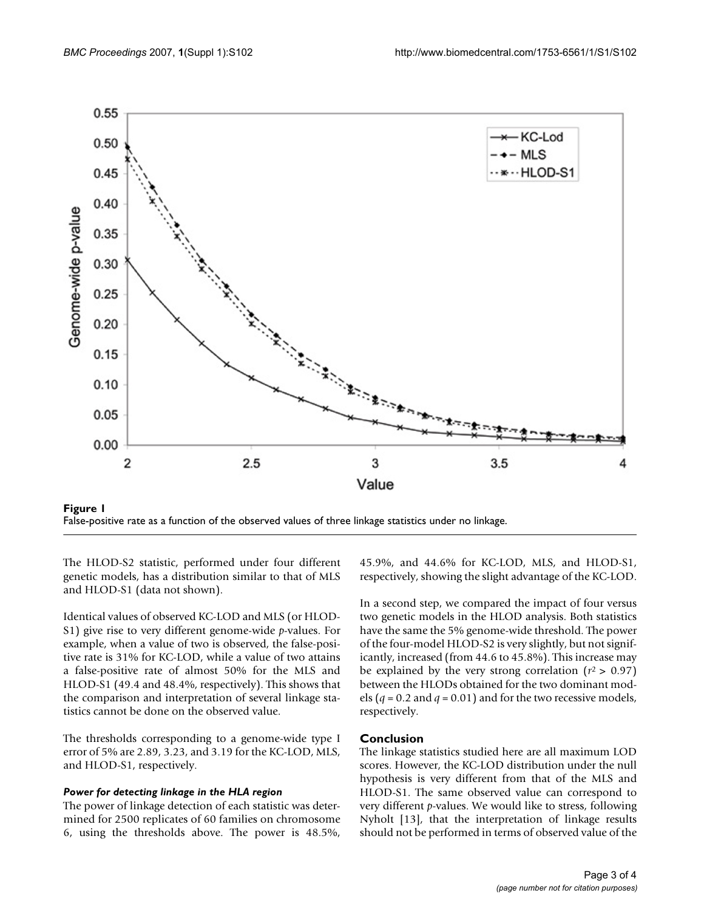

False-positive rate as a function of the observed values of three linkage statistics under no linkage.

The HLOD-S2 statistic, performed under four different genetic models, has a distribution similar to that of MLS and HLOD-S1 (data not shown).

Identical values of observed KC-LOD and MLS (or HLOD-S1) give rise to very different genome-wide *p*-values. For example, when a value of two is observed, the false-positive rate is 31% for KC-LOD, while a value of two attains a false-positive rate of almost 50% for the MLS and HLOD-S1 (49.4 and 48.4%, respectively). This shows that the comparison and interpretation of several linkage statistics cannot be done on the observed value.

The thresholds corresponding to a genome-wide type I error of 5% are 2.89, 3.23, and 3.19 for the KC-LOD, MLS, and HLOD-S1, respectively.

#### *Power for detecting linkage in the HLA region*

The power of linkage detection of each statistic was determined for 2500 replicates of 60 families on chromosome 6, using the thresholds above. The power is 48.5%,

45.9%, and 44.6% for KC-LOD, MLS, and HLOD-S1, respectively, showing the slight advantage of the KC-LOD.

In a second step, we compared the impact of four versus two genetic models in the HLOD analysis. Both statistics have the same the 5% genome-wide threshold. The power of the four-model HLOD-S2 is very slightly, but not significantly, increased (from 44.6 to 45.8%). This increase may be explained by the very strong correlation  $(r^2 > 0.97)$ between the HLODs obtained for the two dominant models ( $q = 0.2$  and  $q = 0.01$ ) and for the two recessive models, respectively.

# **Conclusion**

The linkage statistics studied here are all maximum LOD scores. However, the KC-LOD distribution under the null hypothesis is very different from that of the MLS and HLOD-S1. The same observed value can correspond to very different *p*-values. We would like to stress, following Nyholt [13], that the interpretation of linkage results should not be performed in terms of observed value of the